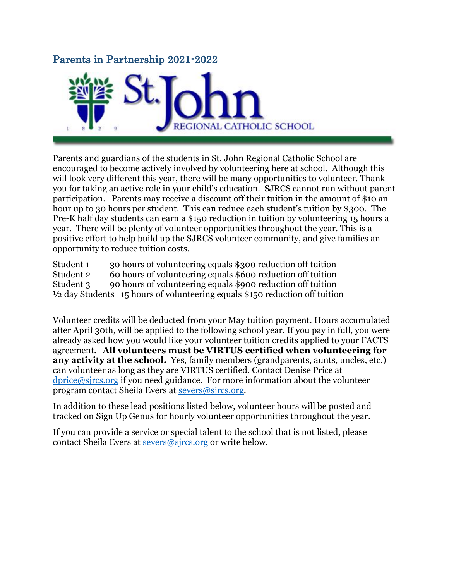## Parents in Partnership 2021-2022



Parents and guardians of the students in St. John Regional Catholic School are encouraged to become actively involved by volunteering here at school. Although this will look very different this year, there will be many opportunities to volunteer. Thank you for taking an active role in your child's education. SJRCS cannot run without parent participation. Parents may receive a discount off their tuition in the amount of \$10 an hour up to 30 hours per student. This can reduce each student's tuition by \$300. The Pre-K half day students can earn a \$150 reduction in tuition by volunteering 15 hours a year. There will be plenty of volunteer opportunities throughout the year. This is a positive effort to help build up the SJRCS volunteer community, and give families an opportunity to reduce tuition costs.

Student 1 30 hours of volunteering equals \$300 reduction off tuition Student 2 60 hours of volunteering equals \$600 reduction off tuition Student 3 90 hours of volunteering equals \$900 reduction off tuition ½ day Students 15 hours of volunteering equals \$150 reduction off tuition

Volunteer credits will be deducted from your May tuition payment. Hours accumulated after April 30th, will be applied to the following school year. If you pay in full, you were already asked how you would like your volunteer tuition credits applied to your FACTS agreement. **All volunteers must be VIRTUS certified when volunteering for any activity at the school.** Yes, family members (grandparents, aunts, uncles, etc.) can volunteer as long as they are VIRTUS certified. Contact Denise Price at [dprice@sjrcs.org](mailto:dprice@sjrcs.org) if you need guidance. For more information about the volunteer program contact Sheila Evers at [severs@sjrcs.org.](mailto:severs@sjrcs.org)

In addition to these lead positions listed below, volunteer hours will be posted and tracked on Sign Up Genus for hourly volunteer opportunities throughout the year.

If you can provide a service or special talent to the school that is not listed, please contact Sheila Evers at [severs@sjrcs.org](mailto:severs@sjrcs.org) or write below.